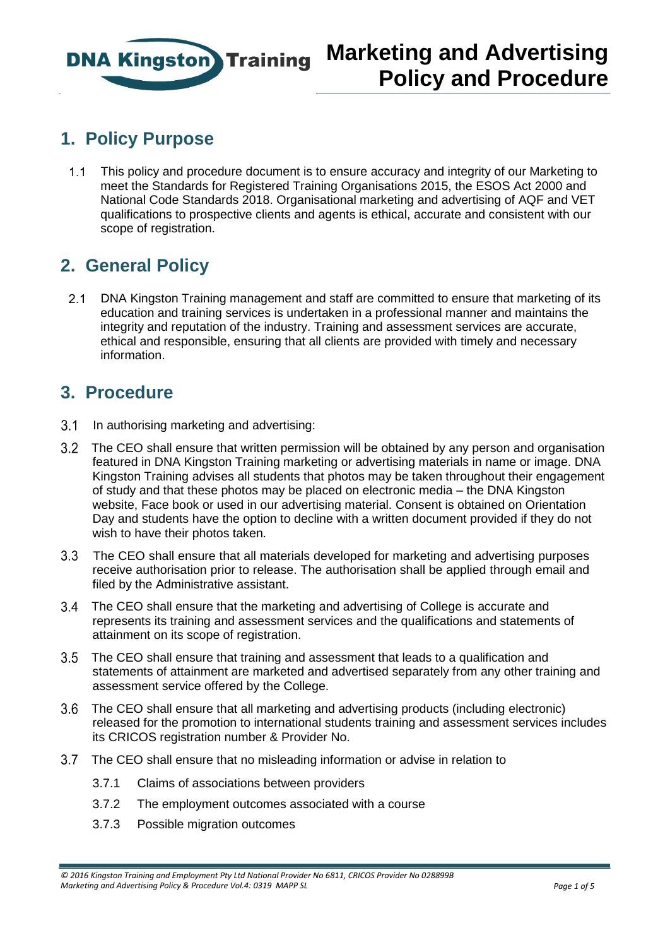

### **1. Policy Purpose**

1.1 This policy and procedure document is to ensure accuracy and integrity of our Marketing to meet the Standards for Registered Training Organisations 2015, the ESOS Act 2000 and National Code Standards 2018. Organisational marketing and advertising of AQF and VET qualifications to prospective clients and agents is ethical, accurate and consistent with our scope of registration.

#### **2. General Policy**

2.1 DNA Kingston Training management and staff are committed to ensure that marketing of its education and training services is undertaken in a professional manner and maintains the integrity and reputation of the industry. Training and assessment services are accurate, ethical and responsible, ensuring that all clients are provided with timely and necessary information.

#### **3. Procedure**

- 3.1 In authorising marketing and advertising:
- The CEO shall ensure that written permission will be obtained by any person and organisation featured in DNA Kingston Training marketing or advertising materials in name or image. DNA Kingston Training advises all students that photos may be taken throughout their engagement of study and that these photos may be placed on electronic media – the DNA Kingston website, Face book or used in our advertising material. Consent is obtained on Orientation Day and students have the option to decline with a written document provided if they do not wish to have their photos taken.
- The CEO shall ensure that all materials developed for marketing and advertising purposes receive authorisation prior to release. The authorisation shall be applied through email and filed by the Administrative assistant.
- The CEO shall ensure that the marketing and advertising of College is accurate and represents its training and assessment services and the qualifications and statements of attainment on its scope of registration.
- The CEO shall ensure that training and assessment that leads to a qualification and statements of attainment are marketed and advertised separately from any other training and assessment service offered by the College.
- The CEO shall ensure that all marketing and advertising products (including electronic) released for the promotion to international students training and assessment services includes its CRICOS registration number & Provider No.
- The CEO shall ensure that no misleading information or advise in relation to
	- 3.7.1 Claims of associations between providers
	- 3.7.2 The employment outcomes associated with a course
	- 3.7.3 Possible migration outcomes

*<sup>© 2016</sup> Kingston Training and Employment Pty Ltd National Provider No 6811, CRICOS Provider No 028899B Marketing and Advertising Policy & Procedure Vol.4: 0319 MAPP SL Page 1 of 5*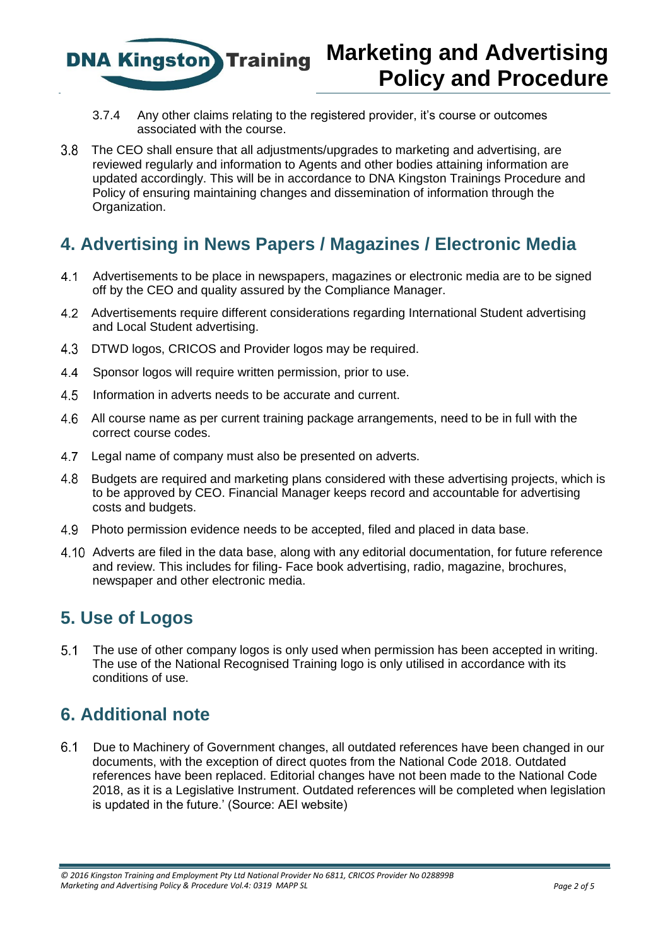

# **Marketing and Advertising Policy and Procedure**

- 3.7.4 Any other claims relating to the registered provider, it's course or outcomes associated with the course.
- The CEO shall ensure that all adjustments/upgrades to marketing and advertising, are reviewed regularly and information to Agents and other bodies attaining information are updated accordingly. This will be in accordance to DNA Kingston Trainings Procedure and Policy of ensuring maintaining changes and dissemination of information through the Organization.

### **4. Advertising in News Papers / Magazines / Electronic Media**

- Advertisements to be place in newspapers, magazines or electronic media are to be signed off by the CEO and quality assured by the Compliance Manager.
- Advertisements require different considerations regarding International Student advertising and Local Student advertising.
- 4.3 DTWD logos, CRICOS and Provider logos may be required.
- 4.4 Sponsor logos will require written permission, prior to use.
- 4.5 Information in adverts needs to be accurate and current.
- All course name as per current training package arrangements, need to be in full with the correct course codes.
- 4.7 Legal name of company must also be presented on adverts.
- 4.8 Budgets are required and marketing plans considered with these advertising projects, which is to be approved by CEO. Financial Manager keeps record and accountable for advertising costs and budgets.
- Photo permission evidence needs to be accepted, filed and placed in data base.
- Adverts are filed in the data base, along with any editorial documentation, for future reference and review. This includes for filing- Face book advertising, radio, magazine, brochures, newspaper and other electronic media.

# **5. Use of Logos**

 The use of other company logos is only used when permission has been accepted in writing. The use of the National Recognised Training logo is only utilised in accordance with its conditions of use.

# **6. Additional note**

 Due to Machinery of Government changes, all outdated references have been changed in our documents, with the exception of direct quotes from the National Code 2018. Outdated references have been replaced. Editorial changes have not been made to the National Code 2018, as it is a Legislative Instrument. Outdated references will be completed when legislation is updated in the future.' (Source: AEI website)

*<sup>© 2016</sup> Kingston Training and Employment Pty Ltd National Provider No 6811, CRICOS Provider No 028899B Marketing and Advertising Policy & Procedure Vol.4: 0319 MAPP SL Page 2 of 5*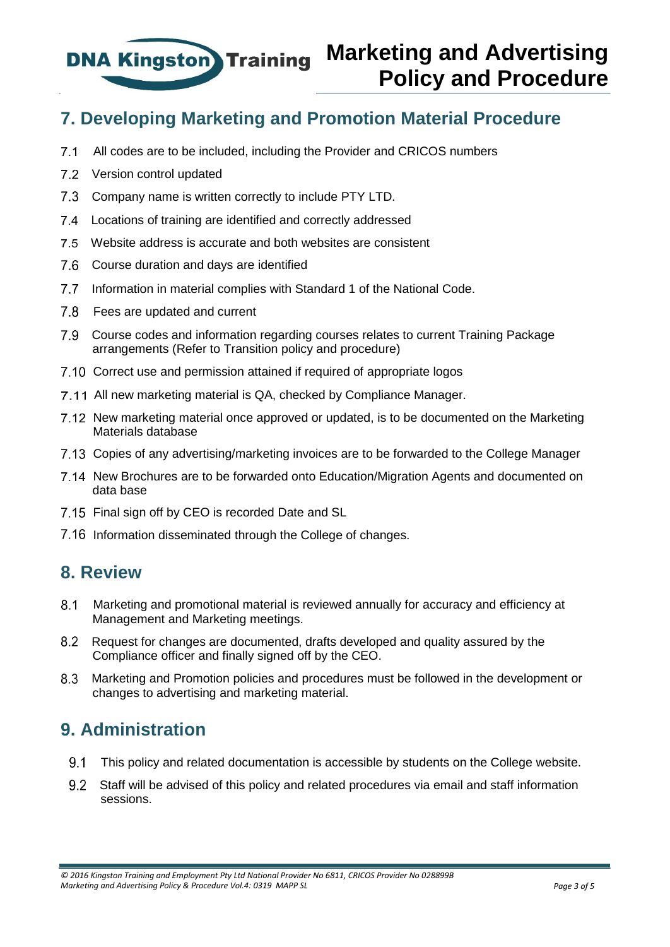

#### **7. Developing Marketing and Promotion Material Procedure**

- All codes are to be included, including the Provider and CRICOS numbers
- 7.2 Version control updated
- 7.3 Company name is written correctly to include PTY LTD.
- Locations of training are identified and correctly addressed
- Website address is accurate and both websites are consistent
- Course duration and days are identified
- 7.7 Information in material complies with Standard 1 of the National Code.
- 7.8 Fees are updated and current
- Course codes and information regarding courses relates to current Training Package arrangements (Refer to Transition policy and procedure)
- 7.10 Correct use and permission attained if required of appropriate logos
- 7.11 All new marketing material is QA, checked by Compliance Manager.
- 7.12 New marketing material once approved or updated, is to be documented on the Marketing Materials database
- Copies of any advertising/marketing invoices are to be forwarded to the College Manager
- 7.14 New Brochures are to be forwarded onto Education/Migration Agents and documented on data base
- 7.15 Final sign off by CEO is recorded Date and SL
- 7.16 Information disseminated through the College of changes.

#### **8. Review**

- Marketing and promotional material is reviewed annually for accuracy and efficiency at Management and Marketing meetings.
- Request for changes are documented, drafts developed and quality assured by the Compliance officer and finally signed off by the CEO.
- Marketing and Promotion policies and procedures must be followed in the development or changes to advertising and marketing material.

#### **9. Administration**

- This policy and related documentation is accessible by students on the College website.
- Staff will be advised of this policy and related procedures via email and staff information sessions.

*<sup>© 2016</sup> Kingston Training and Employment Pty Ltd National Provider No 6811, CRICOS Provider No 028899B Marketing and Advertising Policy & Procedure Vol.4: 0319 MAPP SL Page 3 of 5*